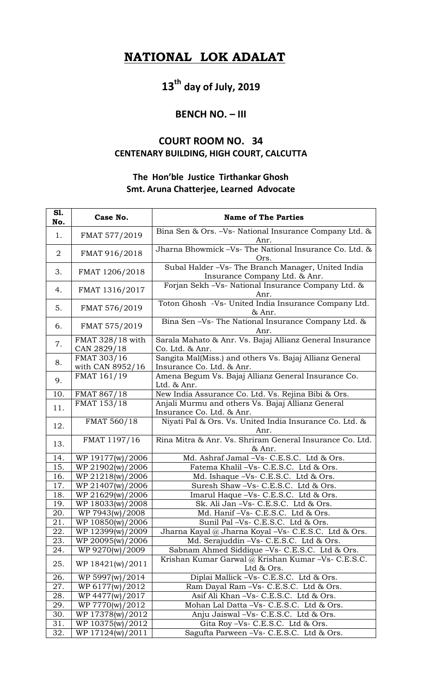## **NATIONAL LOK ADALAT**

# **13th day of July, 2019**

#### **BENCH NO. – III**

### **COURT ROOM NO. 34 CENTENARY BUILDING, HIGH COURT, CALCUTTA**

#### **The Hon'ble Justice Tirthankar Ghosh Smt. Aruna Chatterjee, Learned Advocate**

| S1.<br>No.     | Case No.                        | <b>Name of The Parties</b>                                                           |
|----------------|---------------------------------|--------------------------------------------------------------------------------------|
| 1.             | FMAT 577/2019                   | Bina Sen & Ors. -Vs- National Insurance Company Ltd. &                               |
| $\overline{2}$ | FMAT 916/2018                   | Anr.<br>Jharna Bhowmick -Vs- The National Insurance Co. Ltd. &<br>Ors.               |
| 3.             | FMAT 1206/2018                  | Subal Halder -Vs- The Branch Manager, United India<br>Insurance Company Ltd. & Anr.  |
| 4.             | FMAT 1316/2017                  | Forjan Sekh - Vs- National Insurance Company Ltd. &<br>Anr.                          |
| 5.             | FMAT 576/2019                   | Toton Ghosh -Vs- United India Insurance Company Ltd.<br>& Anr.                       |
| 6.             | FMAT 575/2019                   | Bina Sen -Vs- The National Insurance Company Ltd. &<br>Anr.                          |
| 7.             | FMAT 328/18 with<br>CAN 2829/18 | Sarala Mahato & Anr. Vs. Bajaj Allianz General Insurance<br>Co. Ltd. & Anr.          |
| 8.             | FMAT 303/16<br>with CAN 8952/16 | Sangita Mal(Miss.) and others Vs. Bajaj Allianz General<br>Insurance Co. Ltd. & Anr. |
| 9.             | FMAT 161/19                     | Amena Begum Vs. Bajaj Allianz General Insurance Co.<br>Ltd. & Anr.                   |
| 10.            | FMAT 867/18                     | New India Assurance Co. Ltd. Vs. Rejina Bibi & Ors.                                  |
| 11.            | FMAT 153/18                     | Anjali Murmu and others Vs. Bajaj Allianz General<br>Insurance Co. Ltd. & Anr.       |
| 12.            | FMAT 560/18                     | Niyati Pal & Ors. Vs. United India Insurance Co. Ltd. &<br>Anr.                      |
| 13.            | FMAT 1197/16                    | Rina Mitra & Anr. Vs. Shriram General Insurance Co. Ltd.<br>& Anr.                   |
| 14.            | WP 19177(w)/2006                | Md. Ashraf Jamal -Vs- C.E.S.C. Ltd & Ors.                                            |
| 15.            | WP 21902(w)/2006                | Fatema Khalil -Vs- C.E.S.C. Ltd & Ors.                                               |
| 16.            | WP 21218(w)/2006                | Md. Ishaque -Vs- C.E.S.C. Ltd & Ors.                                                 |
| 17.            | WP 21407(w)/2006                | Suresh Shaw -Vs- C.E.S.C. Ltd & Ors.                                                 |
| 18.            | WP 21629(w)/2006                | Imarul Haque -Vs- C.E.S.C. Ltd & Ors.                                                |
| 19.            | WP 18033(w)/2008                | Sk. Ali Jan -Vs- C.E.S.C. Ltd & Ors.                                                 |
| 20.            | WP 7943(w)/2008                 | Md. Hanif -Vs- C.E.S.C. Ltd & Ors.                                                   |
| 21.            | WP 10850(w)/2006                | Sunil Pal -Vs- C.E.S.C. Ltd & Ors.                                                   |
| 22.            | WP 12399(w)/2009                | Jharna Kayal @ Jharna Koyal -Vs- C.E.S.C. Ltd & Ors.                                 |
| 23.            | WP 20095(w)/2006                | Md. Serajuddin - Vs - C.E.S.C. Ltd & Ors.                                            |
| 24.            | WP 9270(w)/2009                 | Sabnam Ahmed Siddique -Vs- C.E.S.C. Ltd & Ors.                                       |
| 25.            | WP 18421(w)/2011                | Krishan Kumar Garwal @ Krishan Kumar -Vs- C.E.S.C.<br>Ltd & Ors.                     |
| 26.            | WP 5997(w)/2014                 | Diplai Mallick -Vs- C.E.S.C. Ltd & Ors.                                              |
| 27.            | WP 6177(w)/2012                 | Ram Dayal Ram -Vs- C.E.S.C. Ltd & Ors.                                               |
| 28.            | WP 4477(w)/2017                 | Asif Ali Khan -Vs- C.E.S.C. Ltd & Ors.                                               |
| 29.            | WP 7770(w)/2012                 | Mohan Lal Datta -Vs- C.E.S.C. Ltd & Ors.                                             |
| 30.            | WP 17378(w)/2012                | Anju Jaiswal -Vs- C.E.S.C. Ltd & Ors.                                                |
| 31.            | WP 10375(w)/2012                | Gita Roy -Vs- C.E.S.C. Ltd & Ors.                                                    |
| 32.            | WP 17124(w)/2011                | Sagufta Parween -Vs- C.E.S.C. Ltd & Ors.                                             |